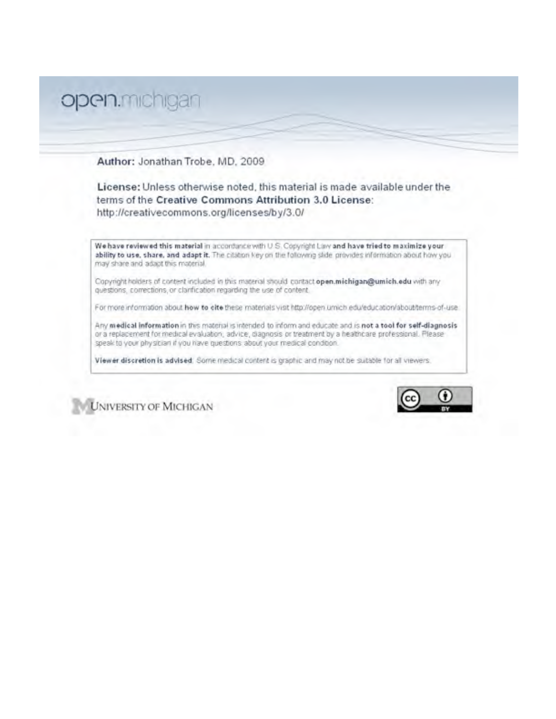# open.michigan

Author: Jonathan Trobe, MD, 2009

License: Unless otherwise noted, this material is made available under the terms of the Creative Commons Attribution 3.0 License: http://creativecommons.org/licenses/by/3.0/

We have reviewed this material in accordance with U.S. Copyright Law and have tried to maximize your ability to use, share, and adapt it. The citation key on the following slide provides information about how you may share and adapt this material.

Copyright holders of content included in this material should contact open.michigan@umich.edu with any questions, corrections, or clarification regarding the use of content.

For more information about how to cite these materials visit http://open.umich.edu/education/about/terms-of-use

Any medical information in this material is intended to inform and educate and is not a tool for self-diagnosis or a replacement for medical evaluation, advice, diagnosis or treatment by a healthcare professional. Please speak to your physician if you have questions about your medical condition.

Viewer discretion is advised. Some medical content is graphic and may not be suitable for all viewers.



**UNIVERSITY OF MICHIGAN**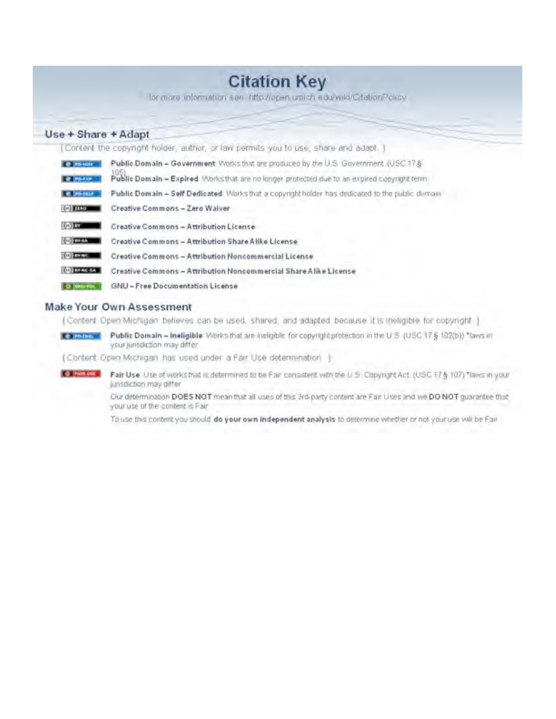## **Citation Key**

for more information see http://open.umich.edu/wiki/CitationPolicy

#### Use + Share + Adapt

[Content the copyright holder, author, or law permits you to use, share and adapt. ]

| <b>O PE-SOF</b>            | Public Domain - Government Works that are produced by the U.S. Government (USC 17 §              |  |
|----------------------------|--------------------------------------------------------------------------------------------------|--|
| <b>MS-EXP</b>              | Public Domain - Expired Morksthat are no longer protected due to an expired copyright term       |  |
|                            | Public Domain - Self Dedicated: Works that a copyright holder has dedicated to the public dimram |  |
| <b>Collection</b>          | Creative Commons - Zero Waiver                                                                   |  |
| $(-)$ 11                   | Creative Commons - Attribution License                                                           |  |
| $\left(\alpha\right)$ mass | Creative Commons - Attribution Share Alike License                                               |  |
| (in) mans                  | Creative Commons - Attribution Noncommercial License                                             |  |
| <b>COZENNAS</b>            | Creative Commons - Attribution Noncommercial Share Alike License                                 |  |
| GHIP FOL                   | GNU-Free Documentation License                                                                   |  |

#### Make Your Own Assessment

(Content Open Michigan believes can be used, shared, and adapted because it is ineligible for copyright.)

Public Domain - Ineligible: Works that are ineligible for copyright protection in the U.S. (USC 17 § 102(b)) "laws in **E** PROMIS your jurisdiction may differ

(Content Open Michigan has used under a Fair Use determination |)

**CO PAIR USE** Fair Use. Use of works that is determined to be Fair consistent with the U.S. Copyright Act. (USC 17 § 107) "laws in your junsdiction may offer

> Our determination DOES NOT mean that all uses of this 3rd-party content are Fair Uses and we DO NOT guarantee that your use of the content is Fair

To use this content you should do your own independent analysis to determine whether or not your use will be Fair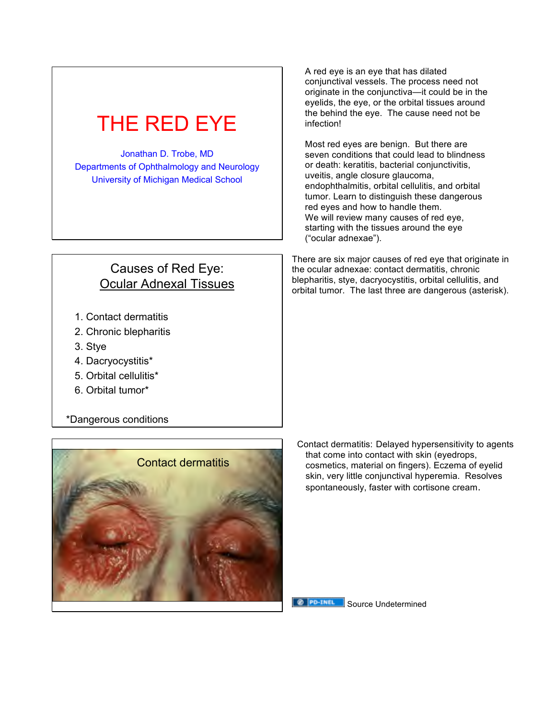| THE RED EYE                                                                                                                     | A red eye is an eye that has dilated<br>conjunctival vessels. The process need not<br>originate in the conjunctiva-it could be in the<br>eyelids, the eye, or the orbital tissues around<br>the behind the eye. The cause need not be<br>infection!                                                                                                                                                                                |
|---------------------------------------------------------------------------------------------------------------------------------|------------------------------------------------------------------------------------------------------------------------------------------------------------------------------------------------------------------------------------------------------------------------------------------------------------------------------------------------------------------------------------------------------------------------------------|
| Jonathan D. Trobe, MD<br>Departments of Ophthalmology and Neurology<br><b>University of Michigan Medical School</b>             | Most red eyes are benign. But there are<br>seven conditions that could lead to blindness<br>or death: keratitis, bacterial conjunctivitis,<br>uveitis, angle closure glaucoma,<br>endophthalmitis, orbital cellulitis, and orbital<br>tumor. Learn to distinguish these dangerous<br>red eyes and how to handle them.<br>We will review many causes of red eye,<br>starting with the tissues around the eye<br>("ocular adnexae"). |
| Causes of Red Eye:<br><b>Ocular Adnexal Tissues</b>                                                                             | There are six major causes of red eye that originate in<br>the ocular adnexae: contact dermatitis, chronic<br>blepharitis, stye, dacryocystitis, orbital cellulitis, and<br>orbital tumor. The last three are dangerous (asterisk).                                                                                                                                                                                                |
| 1. Contact dermatitis<br>2. Chronic blepharitis<br>3. Stye<br>4. Dacryocystitis*<br>5. Orbital cellulitis*<br>6. Orbital tumor* |                                                                                                                                                                                                                                                                                                                                                                                                                                    |
| *Dangerous conditions                                                                                                           |                                                                                                                                                                                                                                                                                                                                                                                                                                    |
| <b>Contact dermatitis</b>                                                                                                       | Contact dermatitis: Delayed hypersensitivity to agents<br>that come into contact with skin (eyedrops,<br>cosmetics, material on fingers). Eczema of eyelid<br>skin, very little conjunctival hyperemia. Resolves<br>spontaneously, faster with cortisone cream.                                                                                                                                                                    |

**B PO-TNEL** Source Undetermined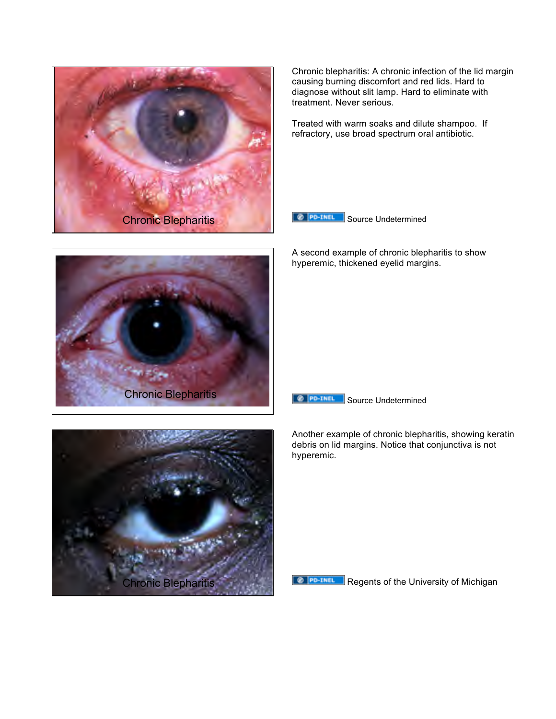

Chronic blepharitis: A chronic infection of the lid margin causing burning discomfort and red lids. Hard to diagnose without slit lamp. Hard to eliminate with treatment. Never serious.

Treated with warm soaks and dilute shampoo. If refractory, use broad spectrum oral antibiotic.



A second example of chronic blepharitis to show hyperemic, thickened eyelid margins.





Another example of chronic blepharitis, showing keratin debris on lid margins. Notice that conjunctiva is not hyperemic.





Regents of the University of Michigan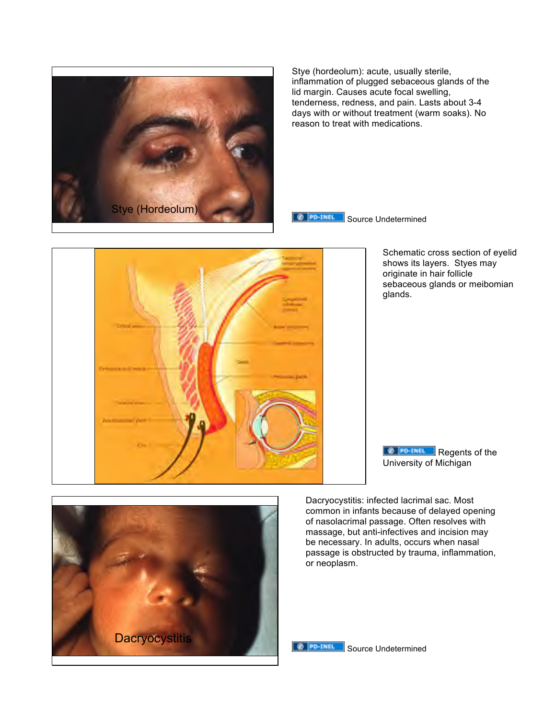

Stye (hordeolum): acute, usually sterile, inflammation of plugged sebaceous glands of the lid margin. Causes acute focal swelling, tenderness, redness, and pain. Lasts about 3-4 days with or without treatment (warm soaks). No reason to treat with medications.

@ PO-TNEL Source Undetermined



Schematic cross section of eyelid shows its layers. Styes may originate in hair follicle sebaceous glands or meibomian glands.

**Regents of the** University of Michigan

Dacryocystitis: infected lacrimal sac. Most common in infants because of delayed opening of nasolacrimal passage. Often resolves with massage, but anti-infectives and incision may be necessary. In adults, occurs when nasal passage is obstructed by trauma, inflammation, or neoplasm.



**SOURCE Undetermined**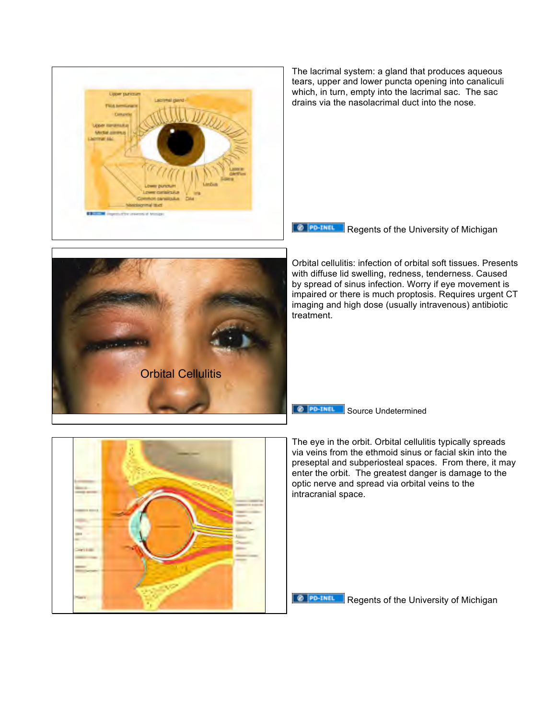

The lacrimal system: a gland that produces aqueous tears, upper and lower puncta opening into canaliculi which, in turn, empty into the lacrimal sac. The sac drains via the nasolacrimal duct into the nose.

**Regents of the University of Michigan** 

Orbital cellulitis: infection of orbital soft tissues. Presents with diffuse lid swelling, redness, tenderness. Caused by spread of sinus infection. Worry if eye movement is impaired or there is much proptosis. Requires urgent CT imaging and high dose (usually intravenous) antibiotic treatment.

**O PO-THEL** Source Undetermined

The eye in the orbit. Orbital cellulitis typically spreads via veins from the ethmoid sinus or facial skin into the preseptal and subperiosteal spaces. From there, it may enter the orbit. The greatest danger is damage to the optic nerve and spread via orbital veins to the intracranial space.



Orbital Cellulitis

**O PO-THEL Regents of the University of Michigan**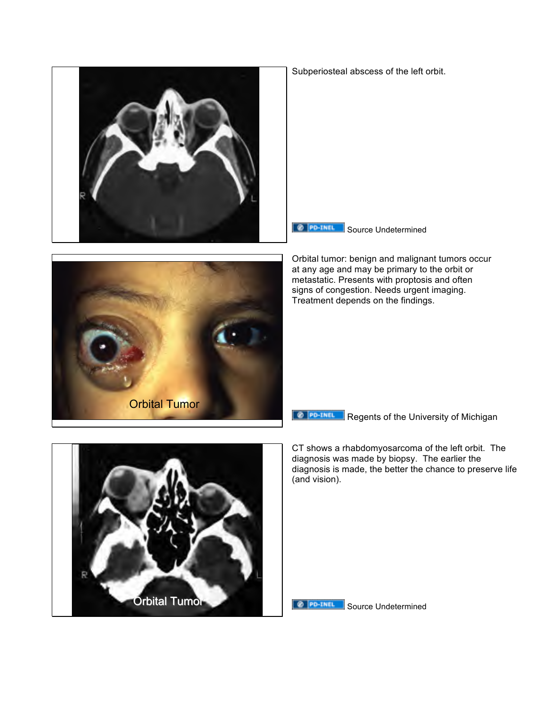





**Source Undetermined** 

Orbital tumor: benign and malignant tumors occur at any age and may be primary to the orbit or metastatic. Presents with proptosis and often signs of congestion. Needs urgent imaging. Treatment depends on the findings.

**Regents of the University of Michigan** 

CT shows a rhabdomyosarcoma of the left orbit. The diagnosis was made by biopsy. The earlier the diagnosis is made, the better the chance to preserve life (and vision).



**O PO-THEL** Source Undetermined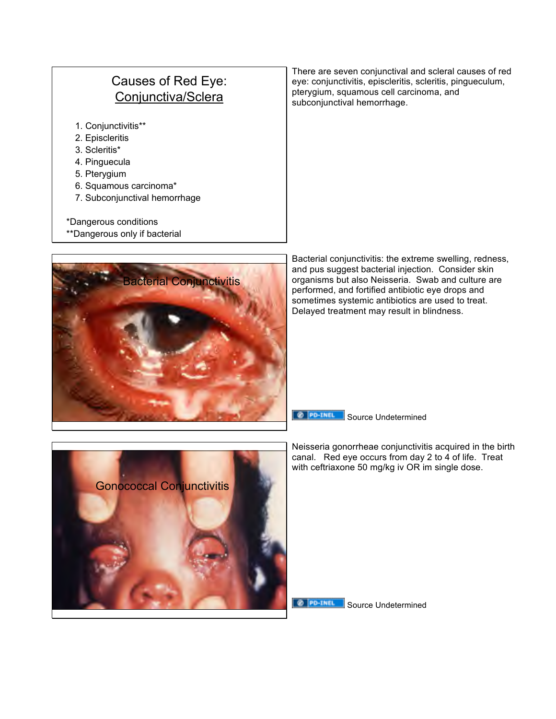### Causes of Red Eye: Conjunctiva/Sclera

- 1. Conjunctivitis\*\*
- 2. Episcleritis
- 3. Scleritis\*
- 4. Pinguecula
- 5. Pterygium
- 6. Squamous carcinoma\*
- 7. Subconjunctival hemorrhage
- \*Dangerous conditions
- \*\*Dangerous only if bacterial

There are seven conjunctival and scleral causes of red eye: conjunctivitis, episcleritis, scleritis, pingueculum, pterygium, squamous cell carcinoma, and subconjunctival hemorrhage.



Bacterial conjunctivitis: the extreme swelling, redness, and pus suggest bacterial injection. Consider skin organisms but also Neisseria. Swab and culture are performed, and fortified antibiotic eye drops and sometimes systemic antibiotics are used to treat. Delayed treatment may result in blindness.

**Source Undetermined** 

Neisseria gonorrheae conjunctivitis acquired in the birth canal. Red eye occurs from day 2 to 4 of life. Treat with ceftriaxone 50 mg/kg iv OR im single dose.



**Source Undetermined**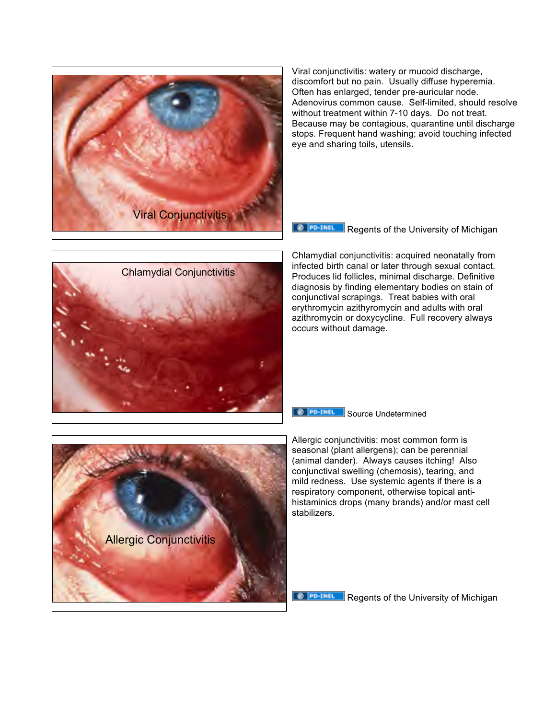

Viral conjunctivitis: watery or mucoid discharge, discomfort but no pain. Usually diffuse hyperemia. Often has enlarged, tender pre-auricular node. Adenovirus common cause. Self-limited, should resolve without treatment within 7-10 days. Do not treat. Because may be contagious, quarantine until discharge stops. Frequent hand washing; avoid touching infected eye and sharing toils, utensils.

**Regents of the University of Michigan** 



Chlamydial conjunctivitis: acquired neonatally from infected birth canal or later through sexual contact. Produces lid follicles, minimal discharge. Definitive diagnosis by finding elementary bodies on stain of conjunctival scrapings. Treat babies with oral erythromycin azithyromycin and adults with oral azithromycin or doxycycline. Full recovery always occurs without damage.





Allergic conjunctivitis: most common form is seasonal (plant allergens); can be perennial (animal dander). Always causes itching! Also conjunctival swelling (chemosis), tearing, and mild redness. Use systemic agents if there is a respiratory component, otherwise topical antihistaminics drops (many brands) and/or mast cell stabilizers.

@ PO-INEL Regents of the University of Michigan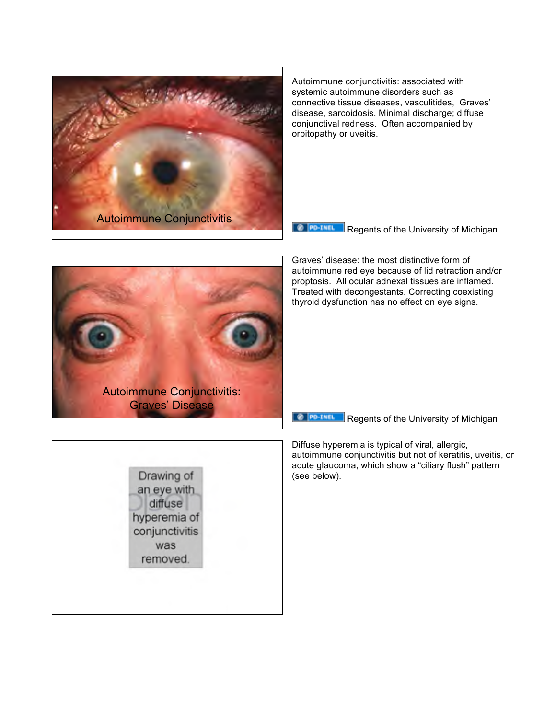

Autoimmune conjunctivitis: associated with systemic autoimmune disorders such as connective tissue diseases, vasculitides, Graves' disease, sarcoidosis. Minimal discharge; diffuse conjunctival redness. Often accompanied by orbitopathy or uveitis.

**Regents of the University of Michigan** 



Graves' disease: the most distinctive form of autoimmune red eye because of lid retraction and/or proptosis. All ocular adnexal tissues are inflamed. Treated with decongestants. Correcting coexisting thyroid dysfunction has no effect on eye signs.

**O PO-TNEL** Regents of the University of Michigan

Diffuse hyperemia is typical of viral, allergic, autoimmune conjunctivitis but not of keratitis, uveitis, or acute glaucoma, which show a "ciliary flush" pattern (see below).

Drawing of an eye with diffuse hyperemia of conjunctivitis was removed.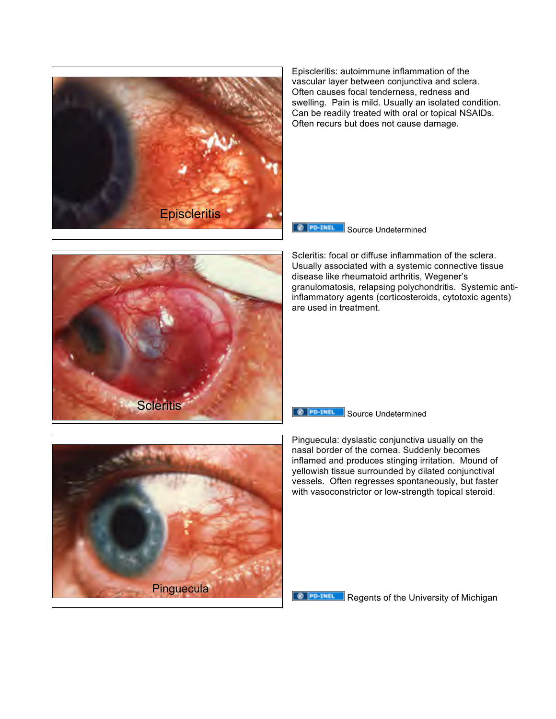

Episcleritis: autoimmune inflammation of the vascular layer between conjunctiva and sclera. Often causes focal tenderness, redness and swelling. Pain is mild. Usually an isolated condition. Can be readily treated with oral or topical NSAIDs. Often recurs but does not cause damage.



Scleritis: focal or diffuse inflammation of the sclera. Usually associated with a systemic connective tissue disease like rheumatoid arthritis, Wegener's granulomatosis, relapsing polychondritis. Systemic antiinflammatory agents (corticosteroids, cytotoxic agents) are used in treatment.

#### **Source Undetermined**

Pinguecula: dyslastic conjunctiva usually on the nasal border of the cornea. Suddenly becomes inflamed and produces stinging irritation. Mound of yellowish tissue surrounded by dilated conjunctival vessels. Often regresses spontaneously, but faster with vasoconstrictor or low-strength topical steroid.



**Scleritis** 

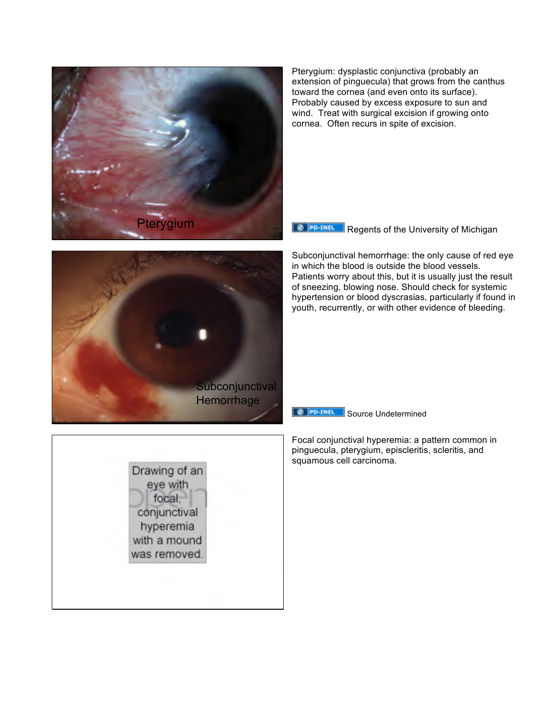

Pterygium: dysplastic conjunctiva (probably an extension of pinguecula) that grows from the canthus toward the cornea (and even onto its surface). Probably caused by excess exposure to sun and wind. Treat with surgical excision if growing onto cornea. Often recurs in spite of excision.

**Regents of the University of Michigan** 

Subconjunctival hemorrhage: the only cause of red eye in which the blood is outside the blood vessels. Patients worry about this, but it is usually just the result of sneezing, blowing nose. Should check for systemic hypertension or blood dyscrasias, particularly if found in youth, recurrently, or with other evidence of bleeding.

@ PO-TNEL Source Undetermined

Focal conjunctival hyperemia: a pattern common in pinguecula, pterygium, episcleritis, scleritis, and squamous cell carcinoma.



Drawing of an eye with focal. conjunctival hyperemia with a mound was removed.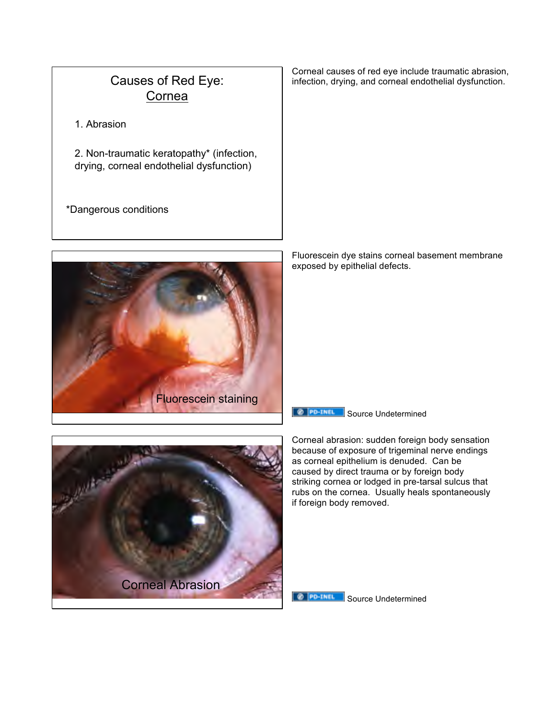### Causes of Red Eye: Cornea

1. Abrasion

2. Non-traumatic keratopathy\* (infection, drying, corneal endothelial dysfunction)

\*Dangerous conditions

Corneal causes of red eye include traumatic abrasion, infection, drying, and corneal endothelial dysfunction.



Fluorescein dye stains corneal basement membrane exposed by epithelial defects.





Corneal abrasion: sudden foreign body sensation because of exposure of trigeminal nerve endings as corneal epithelium is denuded. Can be caused by direct trauma or by foreign body striking cornea or lodged in pre-tarsal sulcus that rubs on the cornea. Usually heals spontaneously if foreign body removed.

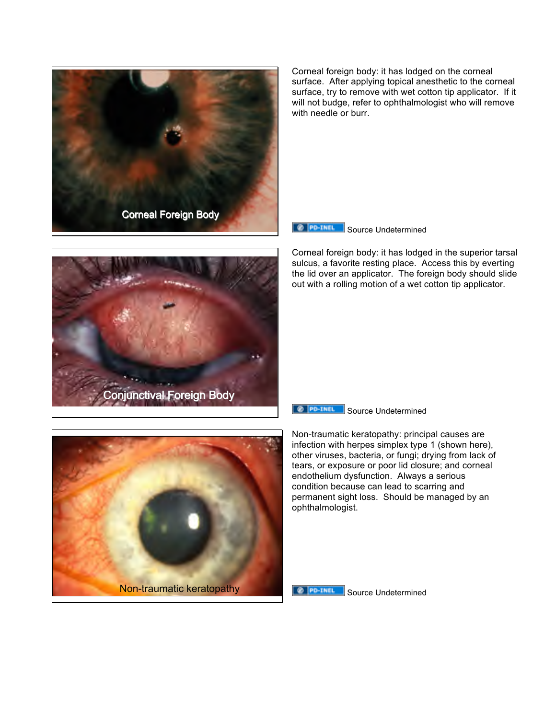

Corneal foreign body: it has lodged on the corneal surface. After applying topical anesthetic to the corneal surface, try to remove with wet cotton tip applicator. If it will not budge, refer to ophthalmologist who will remove with needle or burr.

**EXPORTER Source Undetermined** 

Corneal foreign body: it has lodged in the superior tarsal sulcus, a favorite resting place. Access this by everting the lid over an applicator. The foreign body should slide out with a rolling motion of a wet cotton tip applicator.



**Source Undetermined** 



Non-traumatic keratopathy: principal causes are infection with herpes simplex type 1 (shown here), other viruses, bacteria, or fungi; drying from lack of tears, or exposure or poor lid closure; and corneal endothelium dysfunction. Always a serious condition because can lead to scarring and permanent sight loss. Should be managed by an ophthalmologist.



Source Undetermined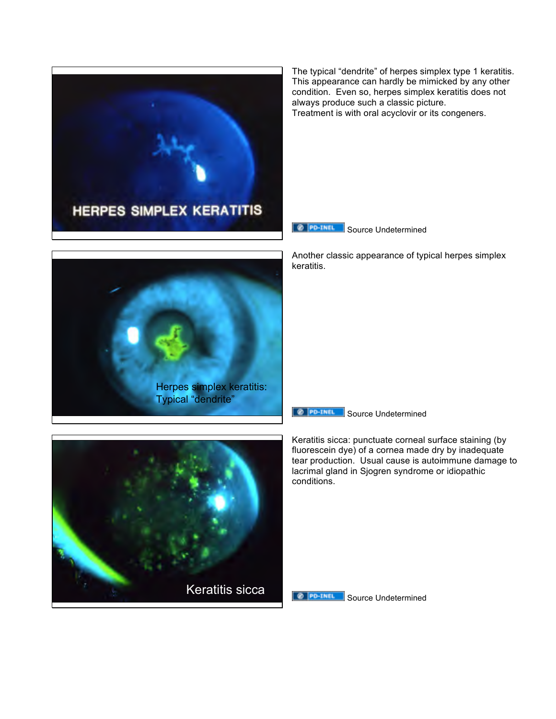

The typical "dendrite" of herpes simplex type 1 keratitis. This appearance can hardly be mimicked by any other condition. Even so, herpes simplex keratitis does not always produce such a classic picture. Treatment is with oral acyclovir or its congeners.



Another classic appearance of typical herpes simplex keratitis.





Keratitis sicca: punctuate corneal surface staining (by fluorescein dye) of a cornea made dry by inadequate tear production. Usual cause is autoimmune damage to lacrimal gland in Sjogren syndrome or idiopathic conditions.



**@ PD-THEL** Source Undetermined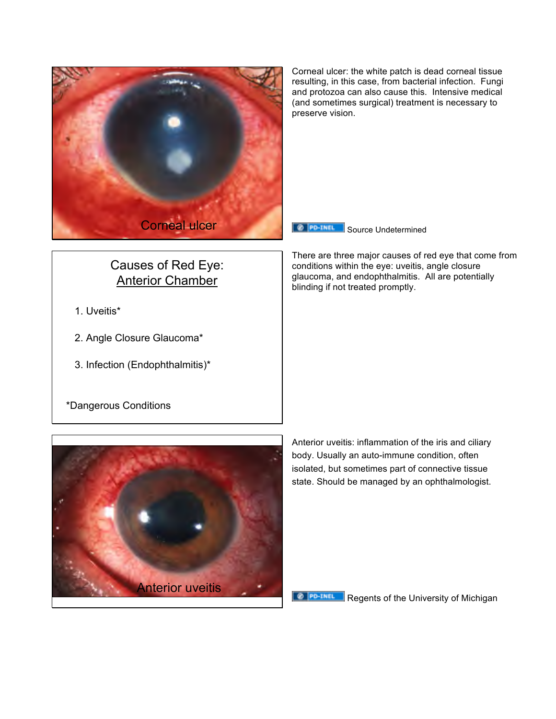

Causes of Red Eye: Anterior Chamber

- 1. Uveitis\*
- 2. Angle Closure Glaucoma\*
- 3. Infection (Endophthalmitis)\*

preserve vision.

**Source Undetermined** 

There are three major causes of red eye that come from conditions within the eye: uveitis, angle closure glaucoma, and endophthalmitis. All are potentially blinding if not treated promptly.

Corneal ulcer: the white patch is dead corneal tissue resulting, in this case, from bacterial infection. Fungi and protozoa can also cause this. Intensive medical (and sometimes surgical) treatment is necessary to





Anterior uveitis: inflammation of the iris and ciliary body. Usually an auto-immune condition, often isolated, but sometimes part of connective tissue state. Should be managed by an ophthalmologist.

**Ø PD-TNEL** Regents of the University of Michigan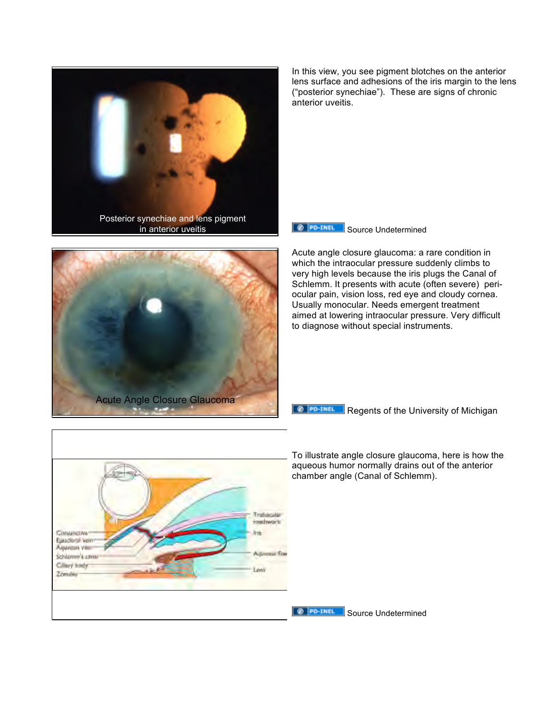



In this view, you see pigment blotches on the anterior lens surface and adhesions of the iris margin to the lens ("posterior synechiae"). These are signs of chronic anterior uveitis.



Acute angle closure glaucoma: a rare condition in which the intraocular pressure suddenly climbs to very high levels because the iris plugs the Canal of Schlemm. It presents with acute (often severe) periocular pain, vision loss, red eye and cloudy cornea. Usually monocular. Needs emergent treatment aimed at lowering intraocular pressure. Very difficult to diagnose without special instruments.

**@ PO-TNEL Regents of the University of Michigan** 



To illustrate angle closure glaucoma, here is how the aqueous humor normally drains out of the anterior chamber angle (Canal of Schlemm).

**SOURCE IS Source Undetermined**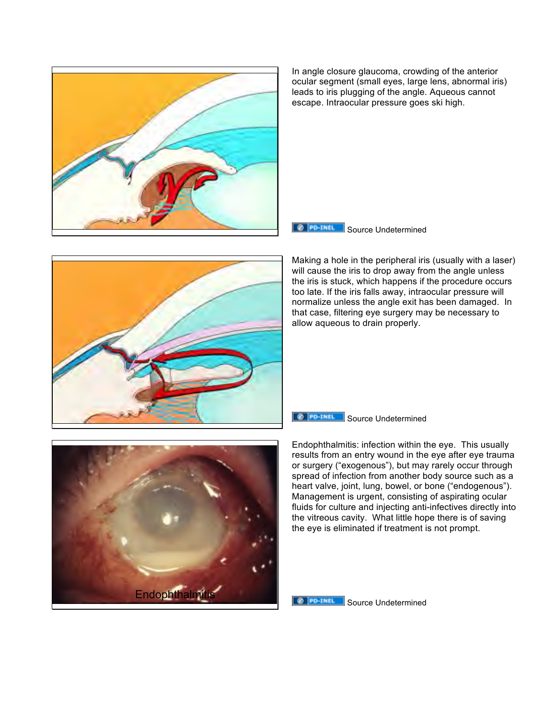

In angle closure glaucoma, crowding of the anterior ocular segment (small eyes, large lens, abnormal iris) leads to iris plugging of the angle. Aqueous cannot escape. Intraocular pressure goes ski high.



Making a hole in the peripheral iris (usually with a laser) will cause the iris to drop away from the angle unless the iris is stuck, which happens if the procedure occurs too late. If the iris falls away, intraocular pressure will normalize unless the angle exit has been damaged. In that case, filtering eye surgery may be necessary to allow aqueous to drain properly.





Endophthalmitis: infection within the eye. This usually results from an entry wound in the eye after eye trauma or surgery ("exogenous"), but may rarely occur through spread of infection from another body source such as a heart valve, joint, lung, bowel, or bone ("endogenous"). Management is urgent, consisting of aspirating ocular fluids for culture and injecting anti-infectives directly into the vitreous cavity. What little hope there is of saving the eye is eliminated if treatment is not prompt.

#### @ PO-TNEL Source Undetermined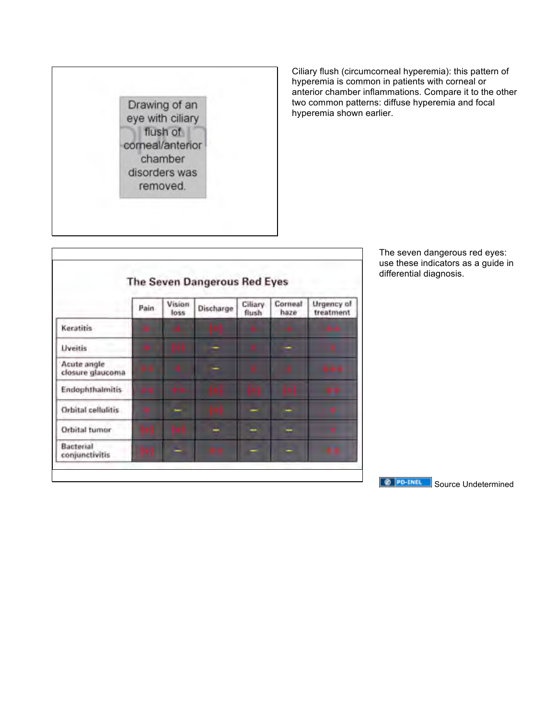

Ciliary flush (circumcorneal hyperemia): this pattern of hyperemia is common in patients with corneal or anterior chamber inflammations. Compare it to the other two common patterns: diffuse hyperemia and focal hyperemia shown earlier.



The seven dangerous red eyes: use these indicators as a guide in differential diagnosis.

**SOURCE Source Undetermined**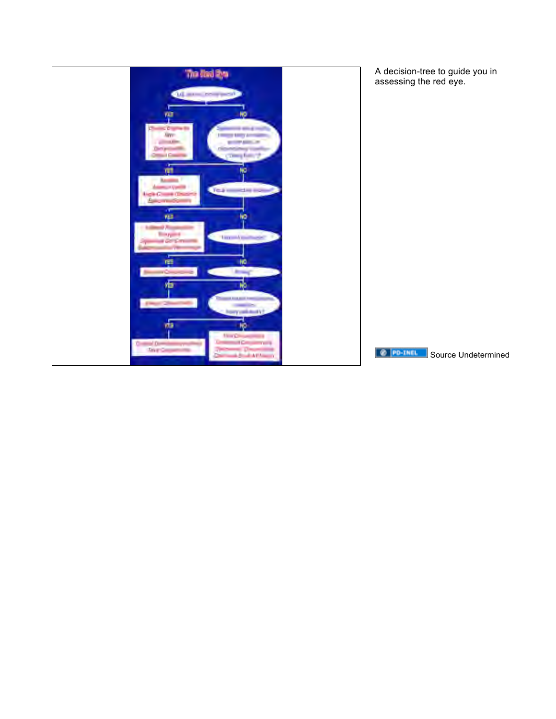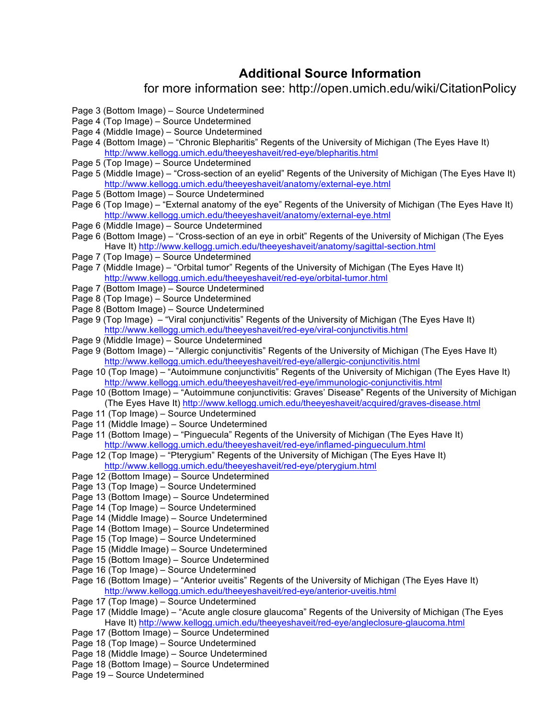### **Additional Source Information**

#### for more information see: http://open.umich.edu/wiki/CitationPolicy

- Page 3 (Bottom Image) Source Undetermined
- Page 4 (Top Image) Source Undetermined
- Page 4 (Middle Image) Source Undetermined
- Page 4 (Bottom Image) "Chronic Blepharitis" Regents of the University of Michigan (The Eyes Have It) http://www.kellogg.umich.edu/theeyeshaveit/red-eye/blepharitis.html
- Page 5 (Top Image) Source Undetermined
- Page 5 (Middle Image) "Cross-section of an eyelid" Regents of the University of Michigan (The Eyes Have It) http://www.kellogg.umich.edu/theeyeshaveit/anatomy/external-eye.html
- Page 5 (Bottom Image) Source Undetermined
- Page 6 (Top Image) "External anatomy of the eye" Regents of the University of Michigan (The Eyes Have It) http://www.kellogg.umich.edu/theeyeshaveit/anatomy/external-eye.html
- Page 6 (Middle Image) Source Undetermined
- Page 6 (Bottom Image) "Cross-section of an eye in orbit" Regents of the University of Michigan (The Eyes Have It) http://www.kellogg.umich.edu/theeyeshaveit/anatomy/sagittal-section.html
- Page 7 (Top Image) Source Undetermined
- Page 7 (Middle Image) "Orbital tumor" Regents of the University of Michigan (The Eyes Have It) http://www.kellogg.umich.edu/theeyeshaveit/red-eye/orbital-tumor.html
- Page 7 (Bottom Image) Source Undetermined
- Page 8 (Top Image) Source Undetermined
- Page 8 (Bottom Image) Source Undetermined
- Page 9 (Top Image) "Viral conjunctivitis" Regents of the University of Michigan (The Eyes Have It) http://www.kellogg.umich.edu/theeyeshaveit/red-eye/viral-conjunctivitis.html
- Page 9 (Middle Image) Source Undetermined
- Page 9 (Bottom Image) "Allergic conjunctivitis" Regents of the University of Michigan (The Eyes Have It) http://www.kellogg.umich.edu/theeyeshaveit/red-eye/allergic-conjunctivitis.html
- Page 10 (Top Image) "Autoimmune conjunctivitis" Regents of the University of Michigan (The Eyes Have It) http://www.kellogg.umich.edu/theeyeshaveit/red-eye/immunologic-conjunctivitis.html
- Page 10 (Bottom Image) "Autoimmune conjunctivitis: Graves' Disease" Regents of the University of Michigan (The Eyes Have It) http://www.kellogg.umich.edu/theeyeshaveit/acquired/graves-disease.html
- Page 11 (Top Image) Source Undetermined
- Page 11 (Middle Image) Source Undetermined
- Page 11 (Bottom Image) "Pinguecula" Regents of the University of Michigan (The Eyes Have It) http://www.kellogg.umich.edu/theeyeshaveit/red-eye/inflamed-pingueculum.html
- Page 12 (Top Image) "Pterygium" Regents of the University of Michigan (The Eyes Have It) http://www.kellogg.umich.edu/theeyeshaveit/red-eye/pterygium.html
- Page 12 (Bottom Image) Source Undetermined
- Page 13 (Top Image) Source Undetermined
- Page 13 (Bottom Image) Source Undetermined
- Page 14 (Top Image) Source Undetermined
- Page 14 (Middle Image) Source Undetermined
- Page 14 (Bottom Image) Source Undetermined
- Page 15 (Top Image) Source Undetermined
- Page 15 (Middle Image) Source Undetermined
- Page 15 (Bottom Image) Source Undetermined
- Page 16 (Top Image) Source Undetermined
- Page 16 (Bottom Image) "Anterior uveitis" Regents of the University of Michigan (The Eyes Have It) http://www.kellogg.umich.edu/theeyeshaveit/red-eye/anterior-uveitis.html
- Page 17 (Top Image) Source Undetermined
- Page 17 (Middle Image) "Acute angle closure glaucoma" Regents of the University of Michigan (The Eyes Have It) http://www.kellogg.umich.edu/theeyeshaveit/red-eye/angleclosure-glaucoma.html
- Page 17 (Bottom Image) Source Undetermined
- Page 18 (Top Image) Source Undetermined
- Page 18 (Middle Image) Source Undetermined
- Page 18 (Bottom Image) Source Undetermined
- Page 19 Source Undetermined